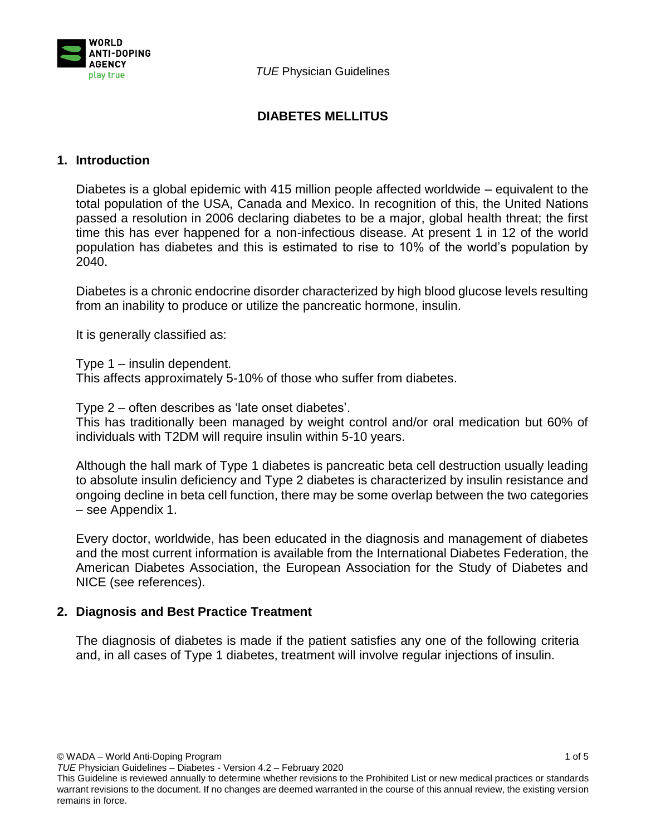

# **DIABETES MELLITUS**

# **1. Introduction**

Diabetes is a global epidemic with 415 million people affected worldwide – equivalent to the total population of the USA, Canada and Mexico. In recognition of this, the United Nations passed a resolution in 2006 declaring diabetes to be a major, global health threat; the first time this has ever happened for a non-infectious disease. At present 1 in 12 of the world population has diabetes and this is estimated to rise to 10% of the world's population by 2040.

Diabetes is a chronic endocrine disorder characterized by high blood glucose levels resulting from an inability to produce or utilize the pancreatic hormone, insulin.

It is generally classified as:

Type 1 – insulin dependent.

This affects approximately 5-10% of those who suffer from diabetes.

Type 2 – often describes as 'late onset diabetes'.

This has traditionally been managed by weight control and/or oral medication but 60% of individuals with T2DM will require insulin within 5-10 years.

Although the hall mark of Type 1 diabetes is pancreatic beta cell destruction usually leading to absolute insulin deficiency and Type 2 diabetes is characterized by insulin resistance and ongoing decline in beta cell function, there may be some overlap between the two categories – see Appendix 1.

Every doctor, worldwide, has been educated in the diagnosis and management of diabetes and the most current information is available from the International Diabetes Federation, the American Diabetes Association, the European Association for the Study of Diabetes and NICE (see references).

# **2. Diagnosis and Best Practice Treatment**

The diagnosis of diabetes is made if the patient satisfies any one of the following criteria and, in all cases of Type 1 diabetes, treatment will involve regular injections of insulin.

© WADA – World Anti-Doping Program 1 of 5

*TUE* Physician Guidelines – Diabetes - Version 4.2 – February 2020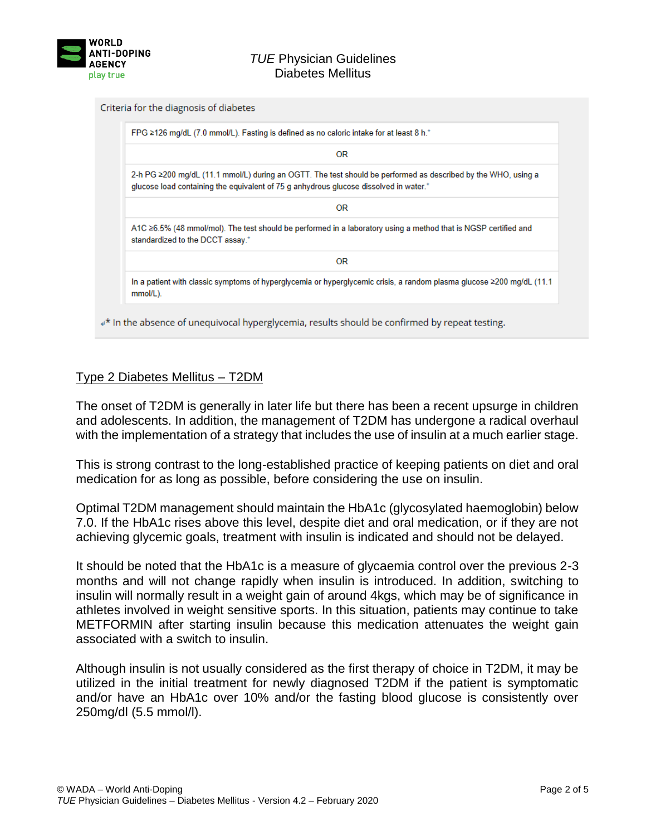

### *TUE* Physician Guidelines Diabetes Mellitus

#### Criteria for the diagnosis of diabetes

| OR                                                                                                                                                                                                     |
|--------------------------------------------------------------------------------------------------------------------------------------------------------------------------------------------------------|
| 2-h PG ≥200 mg/dL (11.1 mmol/L) during an OGTT. The test should be performed as described by the WHO, using a<br>glucose load containing the equivalent of 75 g anhydrous glucose dissolved in water.* |
| OR.                                                                                                                                                                                                    |
| A1C $\geq$ 6.5% (48 mmol/mol). The test should be performed in a laboratory using a method that is NGSP certified and<br>standardized to the DCCT assay.*                                              |
| 0R.                                                                                                                                                                                                    |
| In a patient with classic symptoms of hyperglycemia or hyperglycemic crisis, a random plasma glucose ≥200 mg/dL (11.1<br>mmol/L).                                                                      |

# $\mathbb{P}^{\star}$  in the absence of unequivocal hyperglycemia, results should be confirmed by repeat testing.

# Type 2 Diabetes Mellitus – T2DM

The onset of T2DM is generally in later life but there has been a recent upsurge in children and adolescents. In addition, the management of T2DM has undergone a radical overhaul with the implementation of a strategy that includes the use of insulin at a much earlier stage.

This is strong contrast to the long-established practice of keeping patients on diet and oral medication for as long as possible, before considering the use on insulin.

Optimal T2DM management should maintain the HbA1c (glycosylated haemoglobin) below 7.0. If the HbA1c rises above this level, despite diet and oral medication, or if they are not achieving glycemic goals, treatment with insulin is indicated and should not be delayed.

It should be noted that the HbA1c is a measure of glycaemia control over the previous 2-3 months and will not change rapidly when insulin is introduced. In addition, switching to insulin will normally result in a weight gain of around 4kgs, which may be of significance in athletes involved in weight sensitive sports. In this situation, patients may continue to take METFORMIN after starting insulin because this medication attenuates the weight gain associated with a switch to insulin.

Although insulin is not usually considered as the first therapy of choice in T2DM, it may be utilized in the initial treatment for newly diagnosed T2DM if the patient is symptomatic and/or have an HbA1c over 10% and/or the fasting blood glucose is consistently over 250mg/dl (5.5 mmol/l).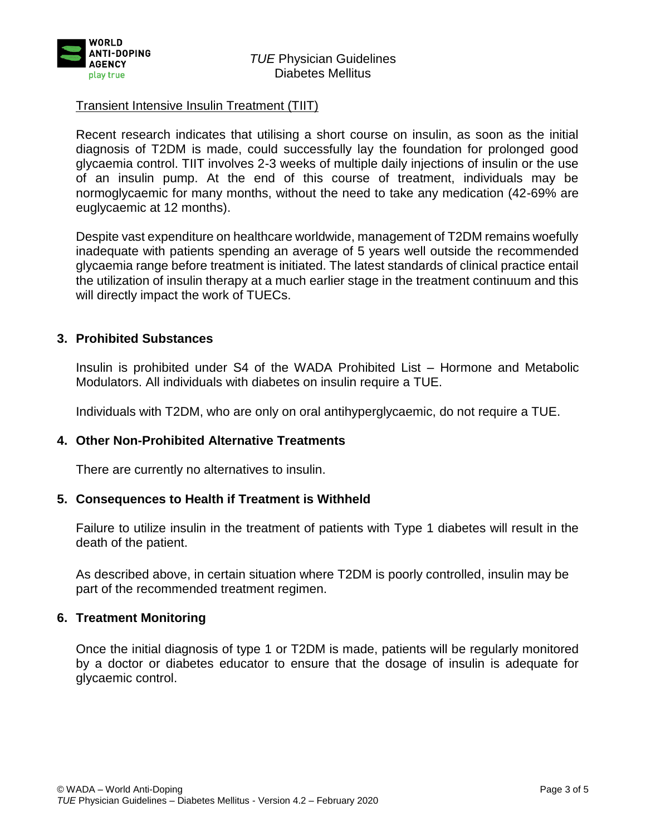

### Transient Intensive Insulin Treatment (TIIT)

Recent research indicates that utilising a short course on insulin, as soon as the initial diagnosis of T2DM is made, could successfully lay the foundation for prolonged good glycaemia control. TIIT involves 2-3 weeks of multiple daily injections of insulin or the use of an insulin pump. At the end of this course of treatment, individuals may be normoglycaemic for many months, without the need to take any medication (42-69% are euglycaemic at 12 months).

Despite vast expenditure on healthcare worldwide, management of T2DM remains woefully inadequate with patients spending an average of 5 years well outside the recommended glycaemia range before treatment is initiated. The latest standards of clinical practice entail the utilization of insulin therapy at a much earlier stage in the treatment continuum and this will directly impact the work of TUECs.

# **3. Prohibited Substances**

Insulin is prohibited under S4 of the WADA Prohibited List – Hormone and Metabolic Modulators. All individuals with diabetes on insulin require a TUE.

Individuals with T2DM, who are only on oral antihyperglycaemic, do not require a TUE.

### **4. Other Non-Prohibited Alternative Treatments**

There are currently no alternatives to insulin.

### **5. Consequences to Health if Treatment is Withheld**

Failure to utilize insulin in the treatment of patients with Type 1 diabetes will result in the death of the patient.

As described above, in certain situation where T2DM is poorly controlled, insulin may be part of the recommended treatment regimen.

### **6. Treatment Monitoring**

Once the initial diagnosis of type 1 or T2DM is made, patients will be regularly monitored by a doctor or diabetes educator to ensure that the dosage of insulin is adequate for glycaemic control.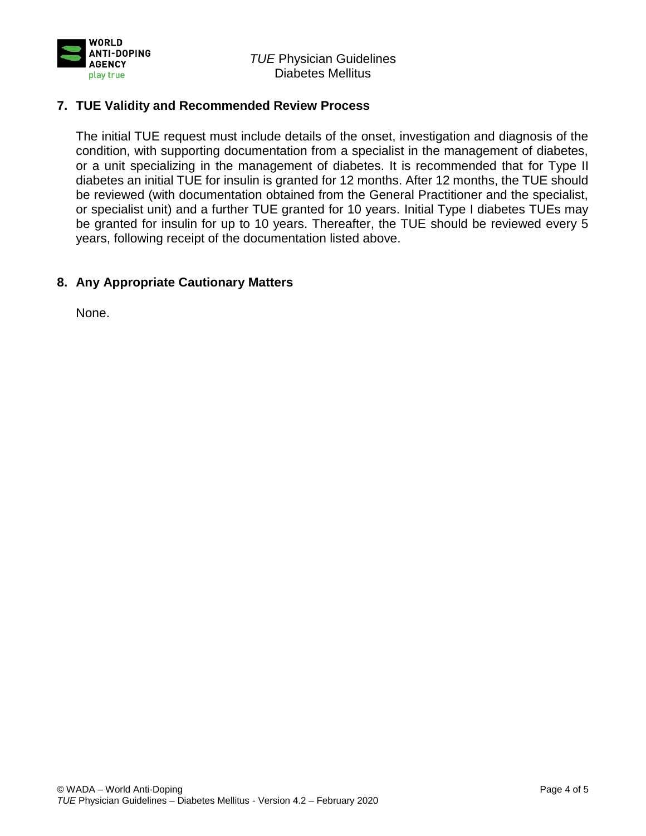

# **7. TUE Validity and Recommended Review Process**

The initial TUE request must include details of the onset, investigation and diagnosis of the condition, with supporting documentation from a specialist in the management of diabetes, or a unit specializing in the management of diabetes. It is recommended that for Type II diabetes an initial TUE for insulin is granted for 12 months. After 12 months, the TUE should be reviewed (with documentation obtained from the General Practitioner and the specialist, or specialist unit) and a further TUE granted for 10 years. Initial Type I diabetes TUEs may be granted for insulin for up to 10 years. Thereafter, the TUE should be reviewed every 5 years, following receipt of the documentation listed above.

### **8. Any Appropriate Cautionary Matters**

None.